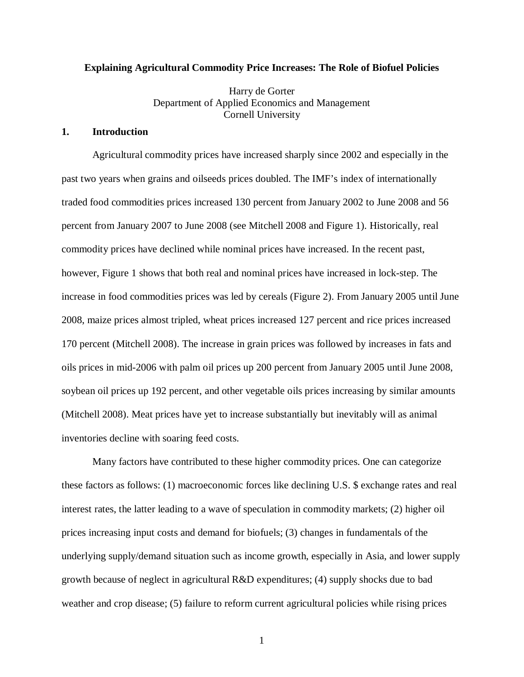## **Explaining Agricultural Commodity Price Increases: The Role of Biofuel Policies**

Harry de Gorter Department of Applied Economics and Management Cornell University

# **1. Introduction**

Agricultural commodity prices have increased sharply since 2002 and especially in the past two years when grains and oilseeds prices doubled. The IMF's index of internationally traded food commodities prices increased 130 percent from January 2002 to June 2008 and 56 percent from January 2007 to June 2008 (see Mitchell 2008 and Figure 1). Historically, real commodity prices have declined while nominal prices have increased. In the recent past, however, Figure 1 shows that both real and nominal prices have increased in lock-step. The increase in food commodities prices was led by cereals (Figure 2). From January 2005 until June 2008, maize prices almost tripled, wheat prices increased 127 percent and rice prices increased 170 percent (Mitchell 2008). The increase in grain prices was followed by increases in fats and oils prices in mid-2006 with palm oil prices up 200 percent from January 2005 until June 2008, soybean oil prices up 192 percent, and other vegetable oils prices increasing by similar amounts (Mitchell 2008). Meat prices have yet to increase substantially but inevitably will as animal inventories decline with soaring feed costs.

Many factors have contributed to these higher commodity prices. One can categorize these factors as follows: (1) macroeconomic forces like declining U.S. \$ exchange rates and real interest rates, the latter leading to a wave of speculation in commodity markets; (2) higher oil prices increasing input costs and demand for biofuels; (3) changes in fundamentals of the underlying supply/demand situation such as income growth, especially in Asia, and lower supply growth because of neglect in agricultural R&D expenditures; (4) supply shocks due to bad weather and crop disease; (5) failure to reform current agricultural policies while rising prices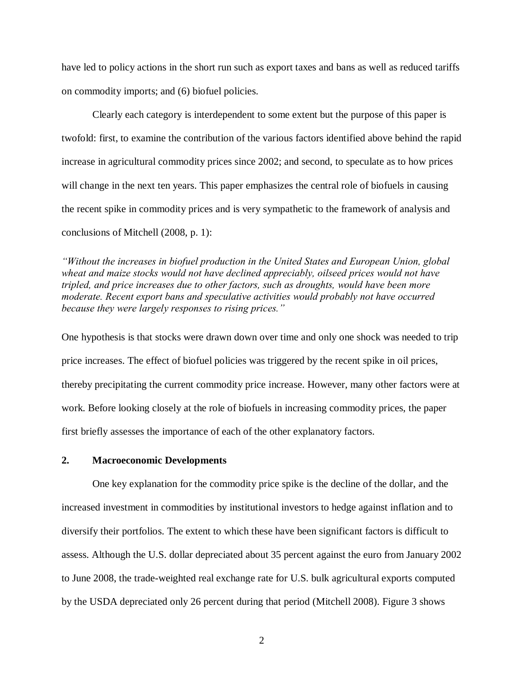have led to policy actions in the short run such as export taxes and bans as well as reduced tariffs on commodity imports; and (6) biofuel policies.

Clearly each category is interdependent to some extent but the purpose of this paper is twofold: first, to examine the contribution of the various factors identified above behind the rapid increase in agricultural commodity prices since 2002; and second, to speculate as to how prices will change in the next ten years. This paper emphasizes the central role of biofuels in causing the recent spike in commodity prices and is very sympathetic to the framework of analysis and conclusions of Mitchell (2008, p. 1):

*"Without the increases in biofuel production in the United States and European Union, global wheat and maize stocks would not have declined appreciably, oilseed prices would not have tripled, and price increases due to other factors, such as droughts, would have been more moderate. Recent export bans and speculative activities would probably not have occurred because they were largely responses to rising prices."* 

One hypothesis is that stocks were drawn down over time and only one shock was needed to trip price increases. The effect of biofuel policies was triggered by the recent spike in oil prices, thereby precipitating the current commodity price increase. However, many other factors were at work. Before looking closely at the role of biofuels in increasing commodity prices, the paper first briefly assesses the importance of each of the other explanatory factors.

# **2. Macroeconomic Developments**

One key explanation for the commodity price spike is the decline of the dollar, and the increased investment in commodities by institutional investors to hedge against inflation and to diversify their portfolios. The extent to which these have been significant factors is difficult to assess. Although the U.S. dollar depreciated about 35 percent against the euro from January 2002 to June 2008, the trade-weighted real exchange rate for U.S. bulk agricultural exports computed by the USDA depreciated only 26 percent during that period (Mitchell 2008). Figure 3 shows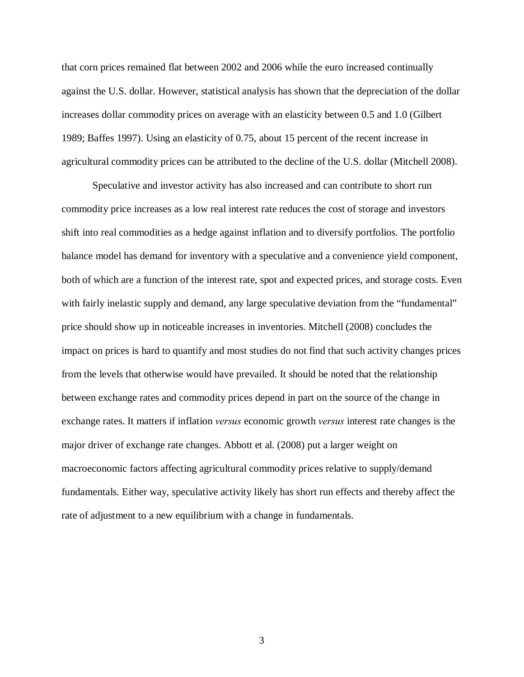that corn prices remained flat between 2002 and 2006 while the euro increased continually against the U.S. dollar. However, statistical analysis has shown that the depreciation of the dollar increases dollar commodity prices on average with an elasticity between 0.5 and 1.0 (Gilbert 1989; Baffes 1997). Using an elasticity of 0.75, about 15 percent of the recent increase in agricultural commodity prices can be attributed to the decline of the U.S. dollar (Mitchell 2008).

Speculative and investor activity has also increased and can contribute to short run commodity price increases as a low real interest rate reduces the cost of storage and investors shift into real commodities as a hedge against inflation and to diversify portfolios. The portfolio balance model has demand for inventory with a speculative and a convenience yield component, both of which are a function of the interest rate, spot and expected prices, and storage costs. Even with fairly inelastic supply and demand, any large speculative deviation from the "fundamental" price should show up in noticeable increases in inventories. Mitchell (2008) concludes the impact on prices is hard to quantify and most studies do not find that such activity changes prices from the levels that otherwise would have prevailed. It should be noted that the relationship between exchange rates and commodity prices depend in part on the source of the change in exchange rates. It matters if inflation *versus* economic growth *versus* interest rate changes is the major driver of exchange rate changes. Abbott et al. (2008) put a larger weight on macroeconomic factors affecting agricultural commodity prices relative to supply/demand fundamentals. Either way, speculative activity likely has short run effects and thereby affect the rate of adjustment to a new equilibrium with a change in fundamentals.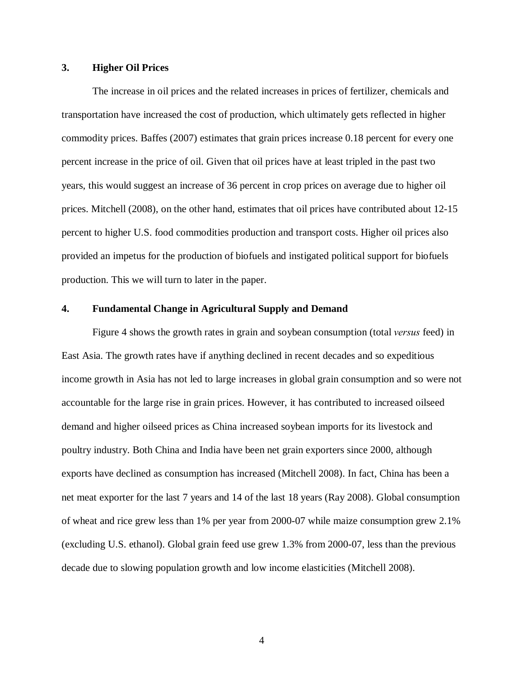# **3. Higher Oil Prices**

The increase in oil prices and the related increases in prices of fertilizer, chemicals and transportation have increased the cost of production, which ultimately gets reflected in higher commodity prices. Baffes (2007) estimates that grain prices increase 0.18 percent for every one percent increase in the price of oil. Given that oil prices have at least tripled in the past two years, this would suggest an increase of 36 percent in crop prices on average due to higher oil prices. Mitchell (2008), on the other hand, estimates that oil prices have contributed about 12-15 percent to higher U.S. food commodities production and transport costs. Higher oil prices also provided an impetus for the production of biofuels and instigated political support for biofuels production. This we will turn to later in the paper.

#### **4. Fundamental Change in Agricultural Supply and Demand**

Figure 4 shows the growth rates in grain and soybean consumption (total *versus* feed) in East Asia. The growth rates have if anything declined in recent decades and so expeditious income growth in Asia has not led to large increases in global grain consumption and so were not accountable for the large rise in grain prices. However, it has contributed to increased oilseed demand and higher oilseed prices as China increased soybean imports for its livestock and poultry industry. Both China and India have been net grain exporters since 2000, although exports have declined as consumption has increased (Mitchell 2008). In fact, China has been a net meat exporter for the last 7 years and 14 of the last 18 years (Ray 2008). Global consumption of wheat and rice grew less than 1% per year from 2000-07 while maize consumption grew 2.1% (excluding U.S. ethanol). Global grain feed use grew 1.3% from 2000-07, less than the previous decade due to slowing population growth and low income elasticities (Mitchell 2008).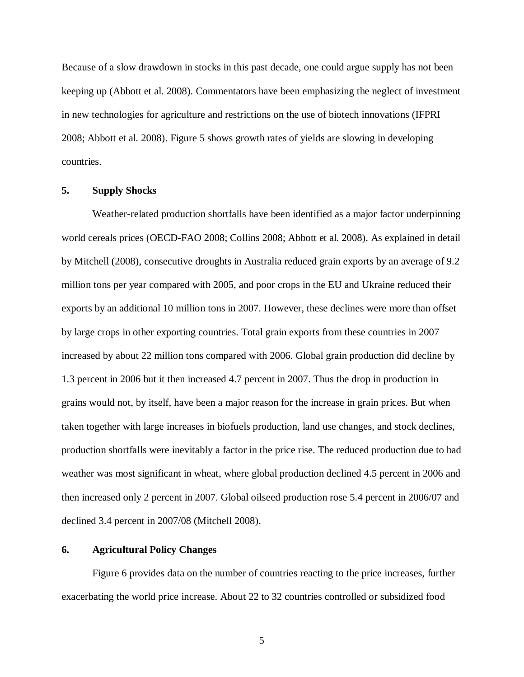Because of a slow drawdown in stocks in this past decade, one could argue supply has not been keeping up (Abbott et al. 2008). Commentators have been emphasizing the neglect of investment in new technologies for agriculture and restrictions on the use of biotech innovations (IFPRI 2008; Abbott et al. 2008). Figure 5 shows growth rates of yields are slowing in developing countries.

#### **5. Supply Shocks**

Weather-related production shortfalls have been identified as a major factor underpinning world cereals prices (OECD-FAO 2008; Collins 2008; Abbott et al. 2008). As explained in detail by Mitchell (2008), consecutive droughts in Australia reduced grain exports by an average of 9.2 million tons per year compared with 2005, and poor crops in the EU and Ukraine reduced their exports by an additional 10 million tons in 2007. However, these declines were more than offset by large crops in other exporting countries. Total grain exports from these countries in 2007 increased by about 22 million tons compared with 2006. Global grain production did decline by 1.3 percent in 2006 but it then increased 4.7 percent in 2007. Thus the drop in production in grains would not, by itself, have been a major reason for the increase in grain prices. But when taken together with large increases in biofuels production, land use changes, and stock declines, production shortfalls were inevitably a factor in the price rise. The reduced production due to bad weather was most significant in wheat, where global production declined 4.5 percent in 2006 and then increased only 2 percent in 2007. Global oilseed production rose 5.4 percent in 2006/07 and declined 3.4 percent in 2007/08 (Mitchell 2008).

# **6. Agricultural Policy Changes**

Figure 6 provides data on the number of countries reacting to the price increases, further exacerbating the world price increase. About 22 to 32 countries controlled or subsidized food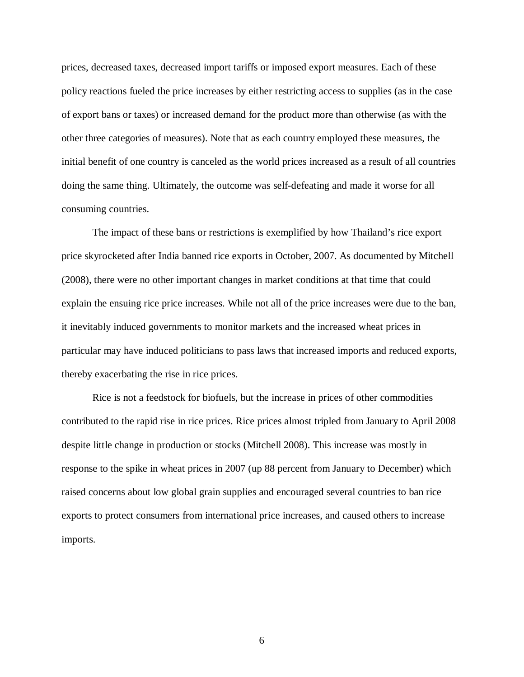prices, decreased taxes, decreased import tariffs or imposed export measures. Each of these policy reactions fueled the price increases by either restricting access to supplies (as in the case of export bans or taxes) or increased demand for the product more than otherwise (as with the other three categories of measures). Note that as each country employed these measures, the initial benefit of one country is canceled as the world prices increased as a result of all countries doing the same thing. Ultimately, the outcome was self-defeating and made it worse for all consuming countries.

The impact of these bans or restrictions is exemplified by how Thailand's rice export price skyrocketed after India banned rice exports in October, 2007. As documented by Mitchell (2008), there were no other important changes in market conditions at that time that could explain the ensuing rice price increases. While not all of the price increases were due to the ban, it inevitably induced governments to monitor markets and the increased wheat prices in particular may have induced politicians to pass laws that increased imports and reduced exports, thereby exacerbating the rise in rice prices.

Rice is not a feedstock for biofuels, but the increase in prices of other commodities contributed to the rapid rise in rice prices. Rice prices almost tripled from January to April 2008 despite little change in production or stocks (Mitchell 2008). This increase was mostly in response to the spike in wheat prices in 2007 (up 88 percent from January to December) which raised concerns about low global grain supplies and encouraged several countries to ban rice exports to protect consumers from international price increases, and caused others to increase imports.

 $\sim$  6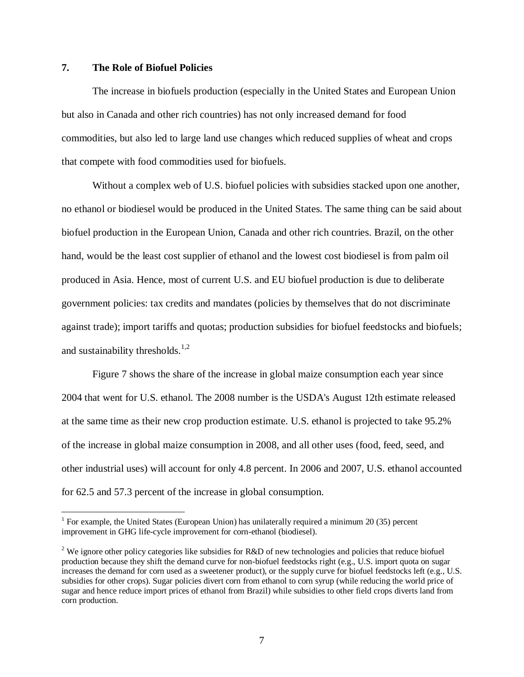# **7. The Role of Biofuel Policies**

 $\overline{a}$ 

The increase in biofuels production (especially in the United States and European Union but also in Canada and other rich countries) has not only increased demand for food commodities, but also led to large land use changes which reduced supplies of wheat and crops that compete with food commodities used for biofuels.

Without a complex web of U.S. biofuel policies with subsidies stacked upon one another, no ethanol or biodiesel would be produced in the United States. The same thing can be said about biofuel production in the European Union, Canada and other rich countries. Brazil, on the other hand, would be the least cost supplier of ethanol and the lowest cost biodiesel is from palm oil produced in Asia. Hence, most of current U.S. and EU biofuel production is due to deliberate government policies: tax credits and mandates (policies by themselves that do not discriminate against trade); import tariffs and quotas; production subsidies for biofuel feedstocks and biofuels; and sustainability thresholds.<sup>1,2</sup>

Figure 7 shows the share of the increase in global maize consumption each year since 2004 that went for U.S. ethanol. The 2008 number is the USDA's August 12th estimate released at the same time as their new crop production estimate. U.S. ethanol is projected to take 95.2% of the increase in global maize consumption in 2008, and all other uses (food, feed, seed, and other industrial uses) will account for only 4.8 percent. In 2006 and 2007, U.S. ethanol accounted for 62.5 and 57.3 percent of the increase in global consumption.

<sup>&</sup>lt;sup>1</sup> For example, the United States (European Union) has unilaterally required a minimum 20 (35) percent improvement in GHG life-cycle improvement for corn-ethanol (biodiesel).

<sup>&</sup>lt;sup>2</sup> We ignore other policy categories like subsidies for R&D of new technologies and policies that reduce biofuel production because they shift the demand curve for non-biofuel feedstocks right (e.g., U.S. import quota on sugar increases the demand for corn used as a sweetener product), or the supply curve for biofuel feedstocks left (e.g., U.S. subsidies for other crops). Sugar policies divert corn from ethanol to corn syrup (while reducing the world price of sugar and hence reduce import prices of ethanol from Brazil) while subsidies to other field crops diverts land from corn production.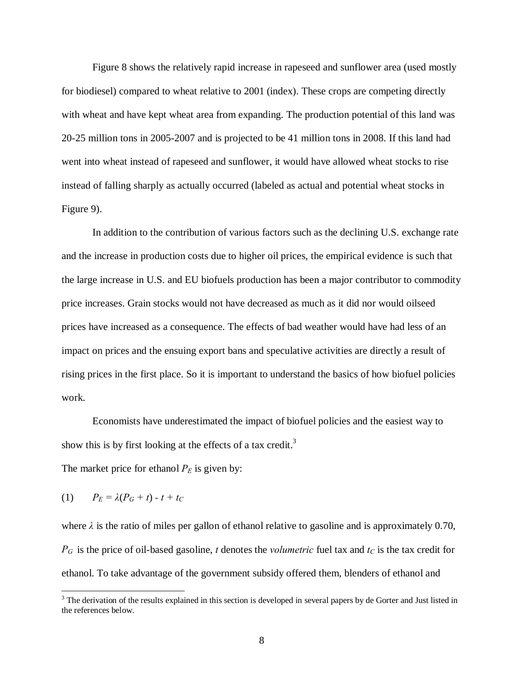Figure 8 shows the relatively rapid increase in rapeseed and sunflower area (used mostly for biodiesel) compared to wheat relative to 2001 (index). These crops are competing directly with wheat and have kept wheat area from expanding. The production potential of this land was 20-25 million tons in 2005-2007 and is projected to be 41 million tons in 2008. If this land had went into wheat instead of rapeseed and sunflower, it would have allowed wheat stocks to rise instead of falling sharply as actually occurred (labeled as actual and potential wheat stocks in Figure 9).

In addition to the contribution of various factors such as the declining U.S. exchange rate and the increase in production costs due to higher oil prices, the empirical evidence is such that the large increase in U.S. and EU biofuels production has been a major contributor to commodity price increases. Grain stocks would not have decreased as much as it did nor would oilseed prices have increased as a consequence. The effects of bad weather would have had less of an impact on prices and the ensuing export bans and speculative activities are directly a result of rising prices in the first place. So it is important to understand the basics of how biofuel policies work.

Economists have underestimated the impact of biofuel policies and the easiest way to show this is by first looking at the effects of a tax credit.<sup>3</sup>

The market price for ethanol  $P_E$  is given by:

$$
(1) \qquad P_E = \lambda (P_G + t) - t + t_C
$$

 $\overline{a}$ 

where  $\lambda$  is the ratio of miles per gallon of ethanol relative to gasoline and is approximately 0.70,  $P_G$  is the price of oil-based gasoline, *t* denotes the *volumetric* fuel tax and  $t_C$  is the tax credit for ethanol. To take advantage of the government subsidy offered them, blenders of ethanol and

 $3$  The derivation of the results explained in this section is developed in several papers by de Gorter and Just listed in the references below.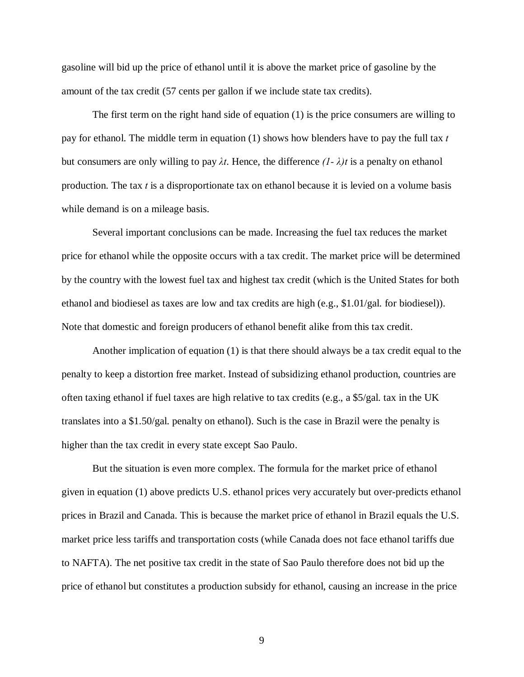gasoline will bid up the price of ethanol until it is above the market price of gasoline by the amount of the tax credit (57 cents per gallon if we include state tax credits).

The first term on the right hand side of equation (1) is the price consumers are willing to pay for ethanol. The middle term in equation (1) shows how blenders have to pay the full tax *t* but consumers are only willing to pay  $\lambda t$ . Hence, the difference  $(1 - \lambda)t$  is a penalty on ethanol production. The tax *t* is a disproportionate tax on ethanol because it is levied on a volume basis while demand is on a mileage basis.

Several important conclusions can be made. Increasing the fuel tax reduces the market price for ethanol while the opposite occurs with a tax credit. The market price will be determined by the country with the lowest fuel tax and highest tax credit (which is the United States for both ethanol and biodiesel as taxes are low and tax credits are high (e.g., \$1.01/gal. for biodiesel)). Note that domestic and foreign producers of ethanol benefit alike from this tax credit.

Another implication of equation (1) is that there should always be a tax credit equal to the penalty to keep a distortion free market. Instead of subsidizing ethanol production, countries are often taxing ethanol if fuel taxes are high relative to tax credits (e.g., a \$5/gal. tax in the UK translates into a \$1.50/gal. penalty on ethanol). Such is the case in Brazil were the penalty is higher than the tax credit in every state except Sao Paulo.

But the situation is even more complex. The formula for the market price of ethanol given in equation (1) above predicts U.S. ethanol prices very accurately but over-predicts ethanol prices in Brazil and Canada. This is because the market price of ethanol in Brazil equals the U.S. market price less tariffs and transportation costs (while Canada does not face ethanol tariffs due to NAFTA). The net positive tax credit in the state of Sao Paulo therefore does not bid up the price of ethanol but constitutes a production subsidy for ethanol, causing an increase in the price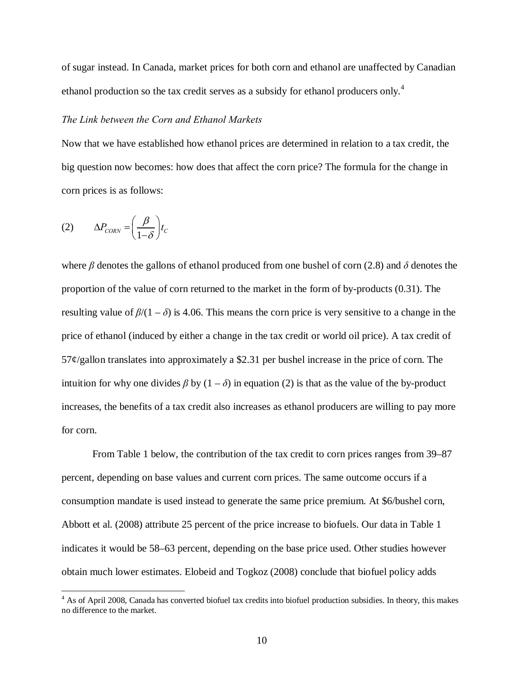of sugar instead. In Canada, market prices for both corn and ethanol are unaffected by Canadian ethanol production so the tax credit serves as a subsidy for ethanol producers only.<sup>4</sup>

## *The Link between the Corn and Ethanol Markets*

Now that we have established how ethanol prices are determined in relation to a tax credit, the big question now becomes: how does that affect the corn price? The formula for the change in corn prices is as follows:

$$
(2) \qquad \Delta P_{CONN} = \left(\frac{\beta}{1-\delta}\right) t_C
$$

<u>.</u>

where *β* denotes the gallons of ethanol produced from one bushel of corn (2.8) and *δ* denotes the proportion of the value of corn returned to the market in the form of by-products (0.31). The resulting value of  $\beta/(1 - \delta)$  is 4.06. This means the corn price is very sensitive to a change in the price of ethanol (induced by either a change in the tax credit or world oil price). A tax credit of 57¢/gallon translates into approximately a \$2.31 per bushel increase in the price of corn. The intuition for why one divides  $\beta$  by  $(1 - \delta)$  in equation (2) is that as the value of the by-product increases, the benefits of a tax credit also increases as ethanol producers are willing to pay more for corn.

From Table 1 below, the contribution of the tax credit to corn prices ranges from 39–87 percent, depending on base values and current corn prices. The same outcome occurs if a consumption mandate is used instead to generate the same price premium. At \$6/bushel corn, Abbott et al. (2008) attribute 25 percent of the price increase to biofuels. Our data in Table 1 indicates it would be 58–63 percent, depending on the base price used. Other studies however obtain much lower estimates. Elobeid and Togkoz (2008) conclude that biofuel policy adds

<sup>&</sup>lt;sup>4</sup> As of April 2008, Canada has converted biofuel tax credits into biofuel production subsidies. In theory, this makes no difference to the market.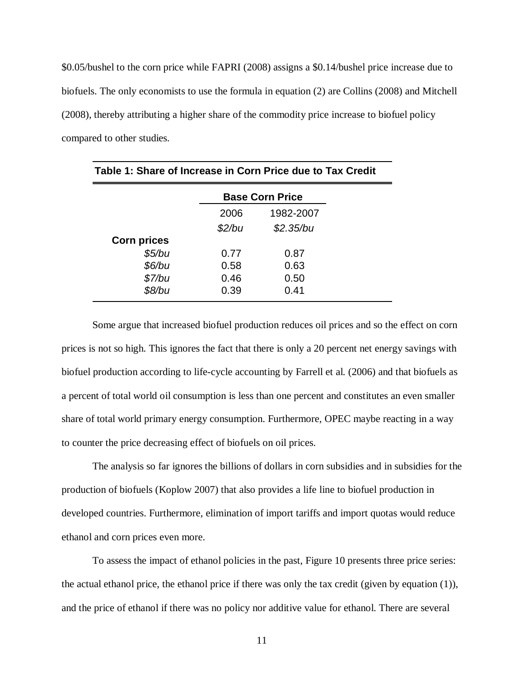\$0.05/bushel to the corn price while FAPRI (2008) assigns a \$0.14/bushel price increase due to biofuels. The only economists to use the formula in equation (2) are Collins (2008) and Mitchell (2008), thereby attributing a higher share of the commodity price increase to biofuel policy compared to other studies.

| Table 1: Share of Increase in Corn Price due to Tax Credit |        |                        |  |
|------------------------------------------------------------|--------|------------------------|--|
|                                                            |        | <b>Base Corn Price</b> |  |
|                                                            | 2006   | 1982-2007              |  |
|                                                            | \$2/bu | \$2.35/bu              |  |
| <b>Corn prices</b>                                         |        |                        |  |
| \$5/bu                                                     | 0.77   | 0.87                   |  |
| \$6/bu                                                     | 0.58   | 0.63                   |  |
| \$7/bu                                                     | 0.46   | 0.50                   |  |
| \$8/bu                                                     | 0.39   | 0.41                   |  |

Some argue that increased biofuel production reduces oil prices and so the effect on corn prices is not so high. This ignores the fact that there is only a 20 percent net energy savings with biofuel production according to life-cycle accounting by Farrell et al. (2006) and that biofuels as a percent of total world oil consumption is less than one percent and constitutes an even smaller share of total world primary energy consumption. Furthermore, OPEC maybe reacting in a way to counter the price decreasing effect of biofuels on oil prices.

The analysis so far ignores the billions of dollars in corn subsidies and in subsidies for the production of biofuels (Koplow 2007) that also provides a life line to biofuel production in developed countries. Furthermore, elimination of import tariffs and import quotas would reduce ethanol and corn prices even more.

To assess the impact of ethanol policies in the past, Figure 10 presents three price series: the actual ethanol price, the ethanol price if there was only the tax credit (given by equation (1)), and the price of ethanol if there was no policy nor additive value for ethanol. There are several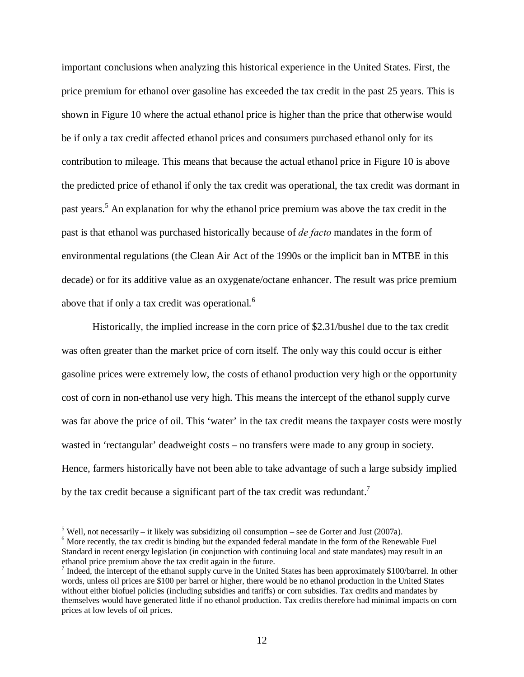important conclusions when analyzing this historical experience in the United States. First, the price premium for ethanol over gasoline has exceeded the tax credit in the past 25 years. This is shown in Figure 10 where the actual ethanol price is higher than the price that otherwise would be if only a tax credit affected ethanol prices and consumers purchased ethanol only for its contribution to mileage. This means that because the actual ethanol price in Figure 10 is above the predicted price of ethanol if only the tax credit was operational, the tax credit was dormant in past years.<sup>5</sup> An explanation for why the ethanol price premium was above the tax credit in the past is that ethanol was purchased historically because of *de facto* mandates in the form of environmental regulations (the Clean Air Act of the 1990s or the implicit ban in MTBE in this decade) or for its additive value as an oxygenate/octane enhancer. The result was price premium above that if only a tax credit was operational.<sup>6</sup>

Historically, the implied increase in the corn price of \$2.31/bushel due to the tax credit was often greater than the market price of corn itself. The only way this could occur is either gasoline prices were extremely low, the costs of ethanol production very high or the opportunity cost of corn in non-ethanol use very high. This means the intercept of the ethanol supply curve was far above the price of oil. This 'water' in the tax credit means the taxpayer costs were mostly wasted in 'rectangular' deadweight costs – no transfers were made to any group in society. Hence, farmers historically have not been able to take advantage of such a large subsidy implied by the tax credit because a significant part of the tax credit was redundant.<sup>7</sup>

<u>.</u>

<sup>&</sup>lt;sup>5</sup> Well, not necessarily – it likely was subsidizing oil consumption – see de Gorter and Just (2007a).

<sup>&</sup>lt;sup>6</sup> More recently, the tax credit is binding but the expanded federal mandate in the form of the Renewable Fuel Standard in recent energy legislation (in conjunction with continuing local and state mandates) may result in an ethanol price premium above the tax credit again in the future.

 $<sup>7</sup>$  Indeed, the intercept of the ethanol supply curve in the United States has been approximately \$100/barrel. In other</sup> words, unless oil prices are \$100 per barrel or higher, there would be no ethanol production in the United States without either biofuel policies (including subsidies and tariffs) or corn subsidies. Tax credits and mandates by themselves would have generated little if no ethanol production. Tax credits therefore had minimal impacts on corn prices at low levels of oil prices.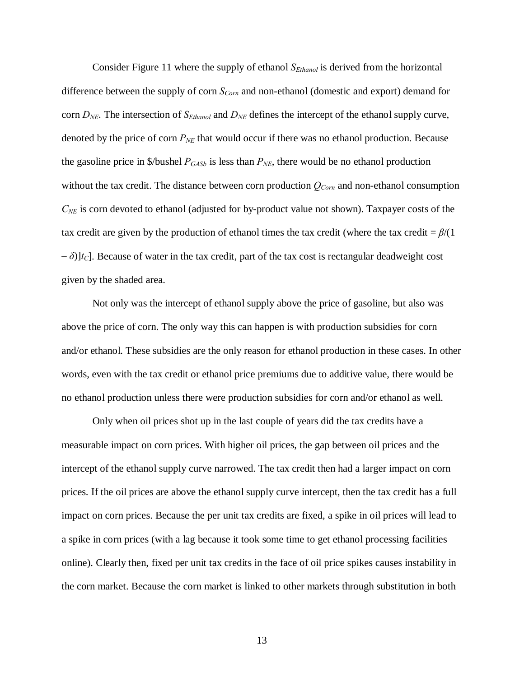Consider Figure 11 where the supply of ethanol *SEthanol* is derived from the horizontal difference between the supply of corn *S<sub>Corn</sub>* and non-ethanol (domestic and export) demand for corn *DNE*. The intersection of *SEthanol* and *DNE* defines the intercept of the ethanol supply curve, denoted by the price of corn  $P_{NE}$  that would occur if there was no ethanol production. Because the gasoline price in  $\frac{1}{645}$  *P<sub>GASb</sub>* is less than *P<sub>NE</sub>*, there would be no ethanol production without the tax credit. The distance between corn production  $Q_{Corn}$  and non-ethanol consumption *CNE* is corn devoted to ethanol (adjusted for by-product value not shown). Taxpayer costs of the tax credit are given by the production of ethanol times the tax credit (where the tax credit = *β*/(1  $(-\delta)$ ] $t_c$ ]. Because of water in the tax credit, part of the tax cost is rectangular deadweight cost given by the shaded area.

Not only was the intercept of ethanol supply above the price of gasoline, but also was above the price of corn. The only way this can happen is with production subsidies for corn and/or ethanol. These subsidies are the only reason for ethanol production in these cases. In other words, even with the tax credit or ethanol price premiums due to additive value, there would be no ethanol production unless there were production subsidies for corn and/or ethanol as well.

Only when oil prices shot up in the last couple of years did the tax credits have a measurable impact on corn prices. With higher oil prices, the gap between oil prices and the intercept of the ethanol supply curve narrowed. The tax credit then had a larger impact on corn prices. If the oil prices are above the ethanol supply curve intercept, then the tax credit has a full impact on corn prices. Because the per unit tax credits are fixed, a spike in oil prices will lead to a spike in corn prices (with a lag because it took some time to get ethanol processing facilities online). Clearly then, fixed per unit tax credits in the face of oil price spikes causes instability in the corn market. Because the corn market is linked to other markets through substitution in both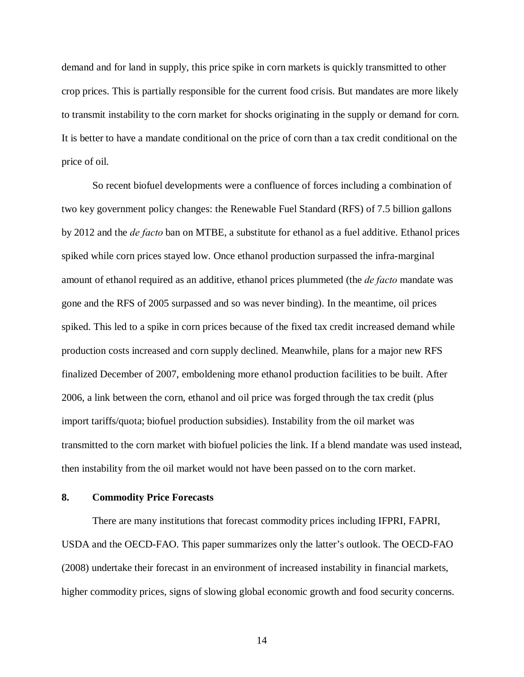demand and for land in supply, this price spike in corn markets is quickly transmitted to other crop prices. This is partially responsible for the current food crisis. But mandates are more likely to transmit instability to the corn market for shocks originating in the supply or demand for corn. It is better to have a mandate conditional on the price of corn than a tax credit conditional on the price of oil.

So recent biofuel developments were a confluence of forces including a combination of two key government policy changes: the Renewable Fuel Standard (RFS) of 7.5 billion gallons by 2012 and the *de facto* ban on MTBE, a substitute for ethanol as a fuel additive. Ethanol prices spiked while corn prices stayed low. Once ethanol production surpassed the infra-marginal amount of ethanol required as an additive, ethanol prices plummeted (the *de facto* mandate was gone and the RFS of 2005 surpassed and so was never binding). In the meantime, oil prices spiked. This led to a spike in corn prices because of the fixed tax credit increased demand while production costs increased and corn supply declined. Meanwhile, plans for a major new RFS finalized December of 2007, emboldening more ethanol production facilities to be built. After 2006, a link between the corn, ethanol and oil price was forged through the tax credit (plus import tariffs/quota; biofuel production subsidies). Instability from the oil market was transmitted to the corn market with biofuel policies the link. If a blend mandate was used instead, then instability from the oil market would not have been passed on to the corn market.

## **8. Commodity Price Forecasts**

There are many institutions that forecast commodity prices including IFPRI, FAPRI, USDA and the OECD-FAO. This paper summarizes only the latter's outlook. The OECD-FAO (2008) undertake their forecast in an environment of increased instability in financial markets, higher commodity prices, signs of slowing global economic growth and food security concerns.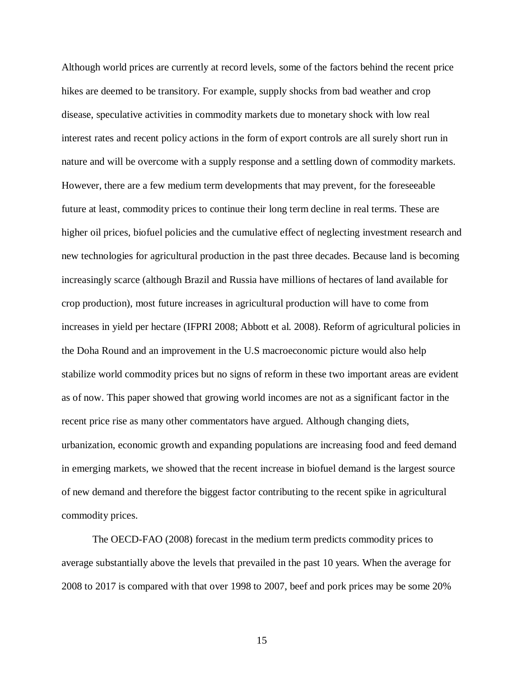Although world prices are currently at record levels, some of the factors behind the recent price hikes are deemed to be transitory. For example, supply shocks from bad weather and crop disease, speculative activities in commodity markets due to monetary shock with low real interest rates and recent policy actions in the form of export controls are all surely short run in nature and will be overcome with a supply response and a settling down of commodity markets. However, there are a few medium term developments that may prevent, for the foreseeable future at least, commodity prices to continue their long term decline in real terms. These are higher oil prices, biofuel policies and the cumulative effect of neglecting investment research and new technologies for agricultural production in the past three decades. Because land is becoming increasingly scarce (although Brazil and Russia have millions of hectares of land available for crop production), most future increases in agricultural production will have to come from increases in yield per hectare (IFPRI 2008; Abbott et al. 2008). Reform of agricultural policies in the Doha Round and an improvement in the U.S macroeconomic picture would also help stabilize world commodity prices but no signs of reform in these two important areas are evident as of now. This paper showed that growing world incomes are not as a significant factor in the recent price rise as many other commentators have argued. Although changing diets, urbanization, economic growth and expanding populations are increasing food and feed demand in emerging markets, we showed that the recent increase in biofuel demand is the largest source of new demand and therefore the biggest factor contributing to the recent spike in agricultural commodity prices.

The OECD-FAO (2008) forecast in the medium term predicts commodity prices to average substantially above the levels that prevailed in the past 10 years. When the average for 2008 to 2017 is compared with that over 1998 to 2007, beef and pork prices may be some 20%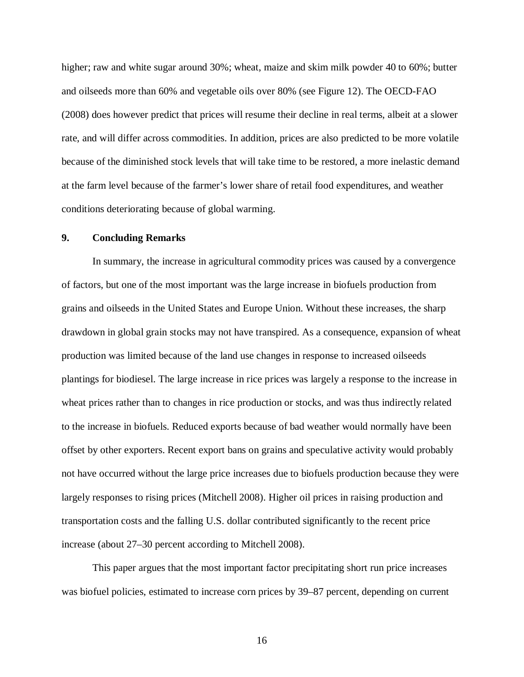higher; raw and white sugar around 30%; wheat, maize and skim milk powder 40 to 60%; butter and oilseeds more than 60% and vegetable oils over 80% (see Figure 12). The OECD-FAO (2008) does however predict that prices will resume their decline in real terms, albeit at a slower rate, and will differ across commodities. In addition, prices are also predicted to be more volatile because of the diminished stock levels that will take time to be restored, a more inelastic demand at the farm level because of the farmer's lower share of retail food expenditures, and weather conditions deteriorating because of global warming.

#### **9. Concluding Remarks**

In summary, the increase in agricultural commodity prices was caused by a convergence of factors, but one of the most important was the large increase in biofuels production from grains and oilseeds in the United States and Europe Union. Without these increases, the sharp drawdown in global grain stocks may not have transpired. As a consequence, expansion of wheat production was limited because of the land use changes in response to increased oilseeds plantings for biodiesel. The large increase in rice prices was largely a response to the increase in wheat prices rather than to changes in rice production or stocks, and was thus indirectly related to the increase in biofuels. Reduced exports because of bad weather would normally have been offset by other exporters. Recent export bans on grains and speculative activity would probably not have occurred without the large price increases due to biofuels production because they were largely responses to rising prices (Mitchell 2008). Higher oil prices in raising production and transportation costs and the falling U.S. dollar contributed significantly to the recent price increase (about 27–30 percent according to Mitchell 2008).

This paper argues that the most important factor precipitating short run price increases was biofuel policies, estimated to increase corn prices by 39–87 percent, depending on current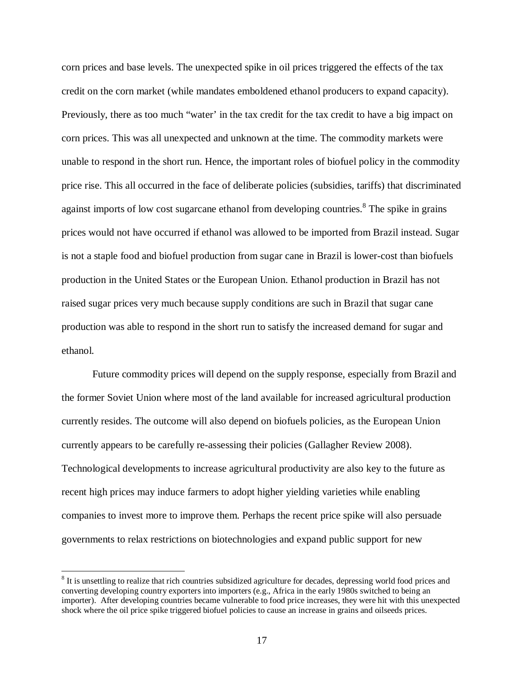corn prices and base levels. The unexpected spike in oil prices triggered the effects of the tax credit on the corn market (while mandates emboldened ethanol producers to expand capacity). Previously, there as too much "water' in the tax credit for the tax credit to have a big impact on corn prices. This was all unexpected and unknown at the time. The commodity markets were unable to respond in the short run. Hence, the important roles of biofuel policy in the commodity price rise. This all occurred in the face of deliberate policies (subsidies, tariffs) that discriminated against imports of low cost sugarcane ethanol from developing countries.<sup>8</sup> The spike in grains prices would not have occurred if ethanol was allowed to be imported from Brazil instead. Sugar is not a staple food and biofuel production from sugar cane in Brazil is lower-cost than biofuels production in the United States or the European Union. Ethanol production in Brazil has not raised sugar prices very much because supply conditions are such in Brazil that sugar cane production was able to respond in the short run to satisfy the increased demand for sugar and ethanol.

Future commodity prices will depend on the supply response, especially from Brazil and the former Soviet Union where most of the land available for increased agricultural production currently resides. The outcome will also depend on biofuels policies, as the European Union currently appears to be carefully re-assessing their policies (Gallagher Review 2008). Technological developments to increase agricultural productivity are also key to the future as recent high prices may induce farmers to adopt higher yielding varieties while enabling companies to invest more to improve them. Perhaps the recent price spike will also persuade governments to relax restrictions on biotechnologies and expand public support for new

<sup>&</sup>lt;sup>8</sup> It is unsettling to realize that rich countries subsidized agriculture for decades, depressing world food prices and converting developing country exporters into importers (e.g., Africa in the early 1980s switched to being an importer). After developing countries became vulnerable to food price increases, they were hit with this unexpected shock where the oil price spike triggered biofuel policies to cause an increase in grains and oilseeds prices.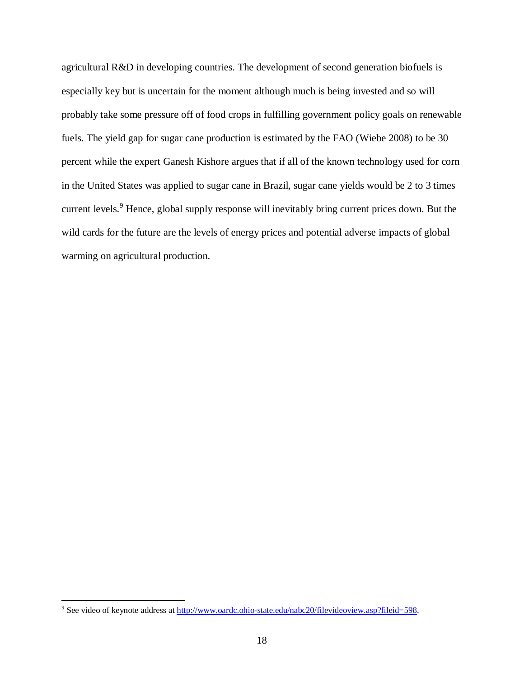agricultural R&D in developing countries. The development of second generation biofuels is especially key but is uncertain for the moment although much is being invested and so will probably take some pressure off of food crops in fulfilling government policy goals on renewable fuels. The yield gap for sugar cane production is estimated by the FAO (Wiebe 2008) to be 30 percent while the expert Ganesh Kishore argues that if all of the known technology used for corn in the United States was applied to sugar cane in Brazil, sugar cane yields would be 2 to 3 times current levels.<sup>9</sup> Hence, global supply response will inevitably bring current prices down. But the wild cards for the future are the levels of energy prices and potential adverse impacts of global warming on agricultural production.

<sup>-&</sup>lt;br><sup>9</sup> See video of keynote address at <u>http://www.oardc.ohio-state.edu/nabc20/filevideoview.asp?fileid=598</u>.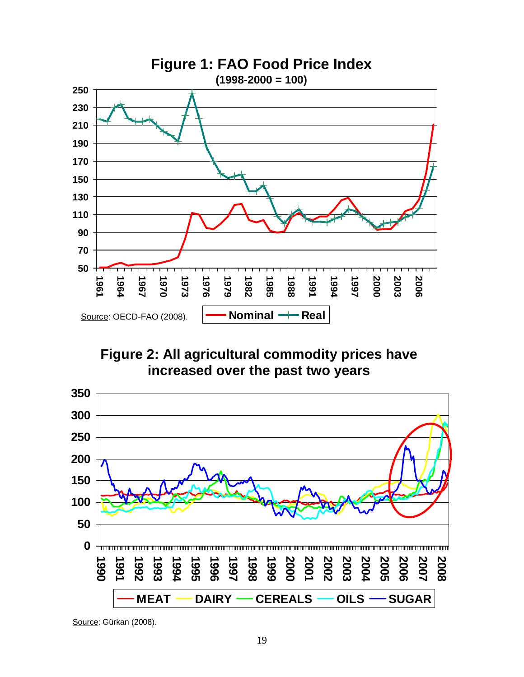

**Figure 2: All agricultural commodity prices have increased over the past two years**



Source: Gürkan (2008).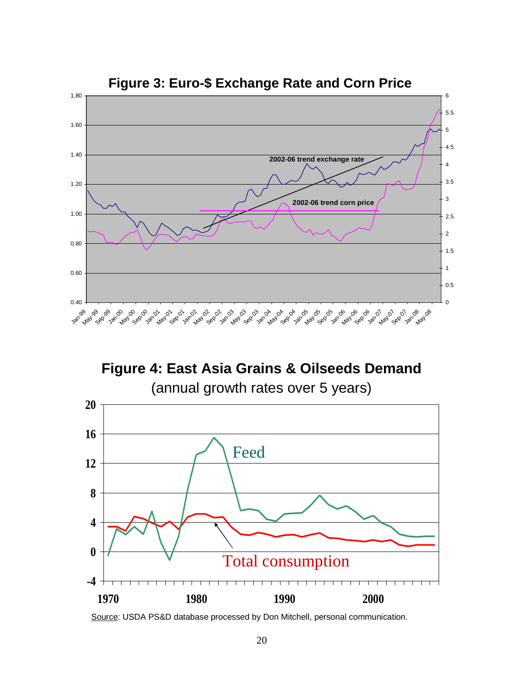

**Figure 3: Euro-\$ Exchange Rate and Corn Price**

**Figure 4: East Asia Grains & Oilseeds Demand** (annual growth rates over 5 years)



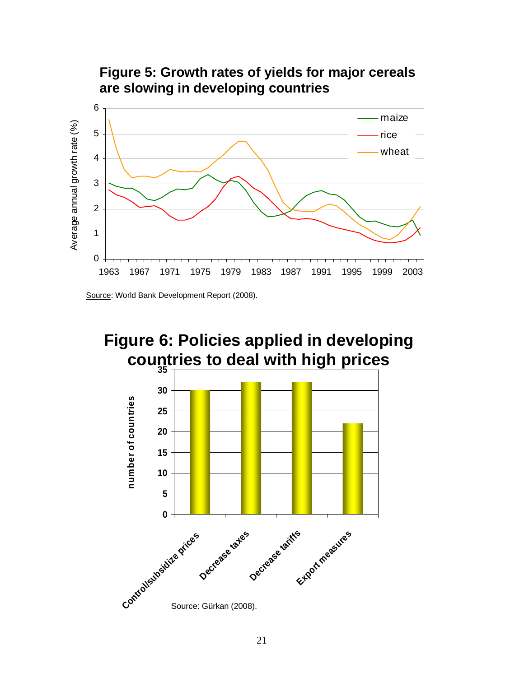

Source: World Bank Development Report (2008).



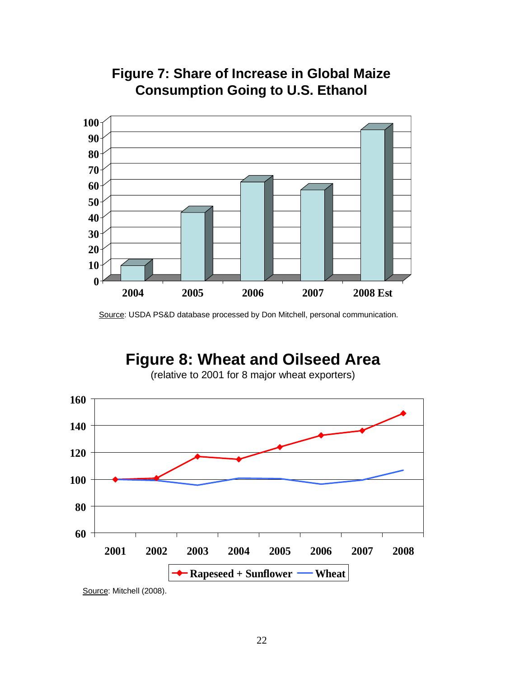



Source: USDA PS&D database processed by Don Mitchell, personal communication.

# **Figure 8: Wheat and Oilseed Area**

(relative to 2001 for 8 major wheat exporters)



Source: Mitchell (2008).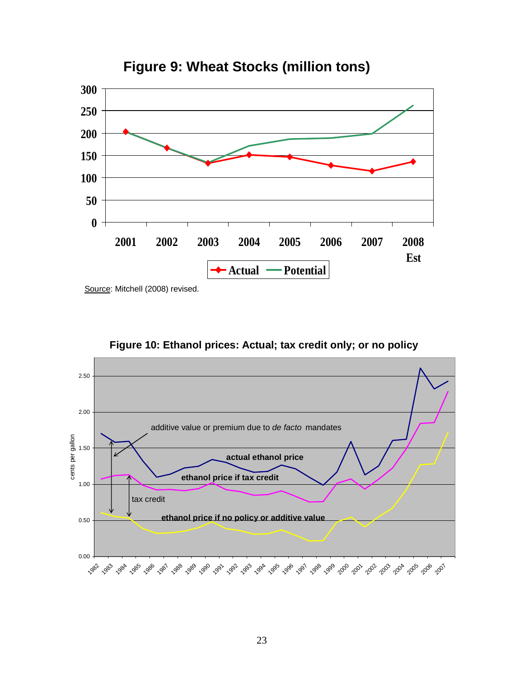

**Figure 9: Wheat Stocks (million tons)**

Source: Mitchell (2008) revised.



**Figure 10: Ethanol prices: Actual; tax credit only; or no policy**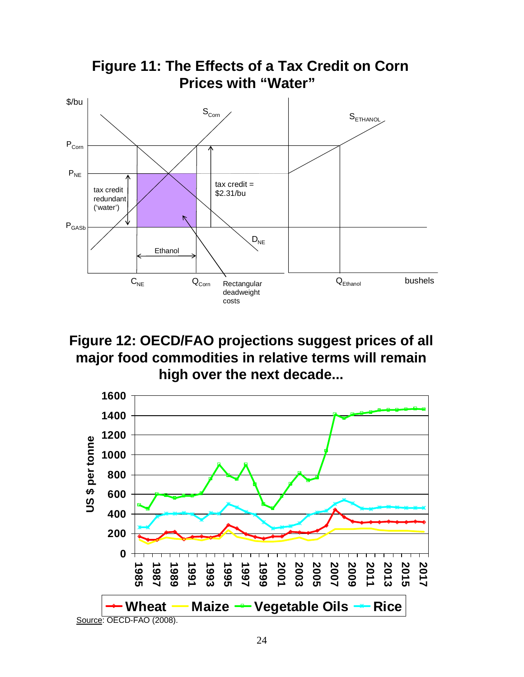

**Figure 12: OECD/FAO projections suggest prices of all major food commodities in relative terms will remain high over the next decade...**

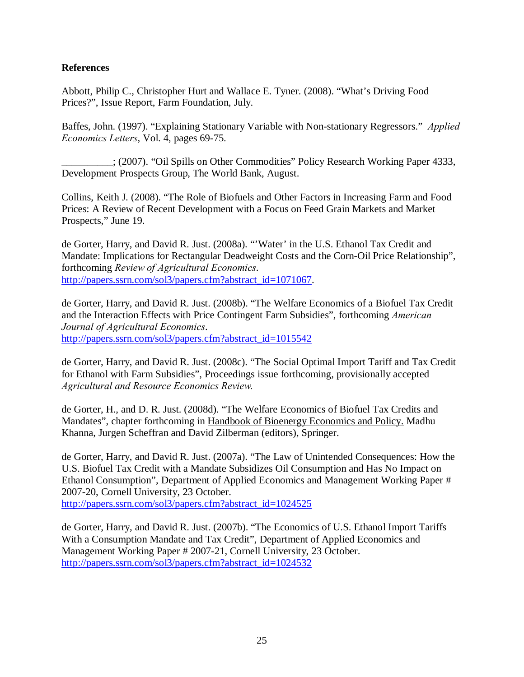# **References**

Abbott, Philip C., Christopher Hurt and Wallace E. Tyner. (2008). "What's Driving Food Prices?", Issue Report, Farm Foundation, July.

Baffes, John. (1997). "Explaining Stationary Variable with Non-stationary Regressors." *Applied Economics Letters*, Vol. 4, pages 69-75.

\_\_\_\_\_\_\_\_\_\_; (2007). "Oil Spills on Other Commodities" Policy Research Working Paper 4333, Development Prospects Group, The World Bank, August.

Collins, Keith J. (2008). "The Role of Biofuels and Other Factors in Increasing Farm and Food Prices: A Review of Recent Development with a Focus on Feed Grain Markets and Market Prospects," June 19.

de Gorter, Harry, and David R. Just. (2008a). "'Water' in the U.S. Ethanol Tax Credit and Mandate: Implications for Rectangular Deadweight Costs and the Corn-Oil Price Relationship", forthcoming *Review of Agricultural Economics*. http://papers.ssrn.com/sol3/papers.cfm?abstract\_id=1071067.

de Gorter, Harry, and David R. Just. (2008b). "The Welfare Economics of a Biofuel Tax Credit and the Interaction Effects with Price Contingent Farm Subsidies", forthcoming *American Journal of Agricultural Economics*. http://papers.ssrn.com/sol3/papers.cfm?abstract\_id=1015542

de Gorter, Harry, and David R. Just. (2008c). "The Social Optimal Import Tariff and Tax Credit for Ethanol with Farm Subsidies", Proceedings issue forthcoming, provisionally accepted *Agricultural and Resource Economics Review.* 

de Gorter, H., and D. R. Just. (2008d). "The Welfare Economics of Biofuel Tax Credits and Mandates", chapter forthcoming in Handbook of Bioenergy Economics and Policy. Madhu Khanna, Jurgen Scheffran and David Zilberman (editors), Springer.

de Gorter, Harry, and David R. Just. (2007a). "The Law of Unintended Consequences: How the U.S. Biofuel Tax Credit with a Mandate Subsidizes Oil Consumption and Has No Impact on Ethanol Consumption", Department of Applied Economics and Management Working Paper # 2007-20, Cornell University, 23 October.

http://papers.ssrn.com/sol3/papers.cfm?abstract\_id=1024525

de Gorter, Harry, and David R. Just. (2007b). "The Economics of U.S. Ethanol Import Tariffs With a Consumption Mandate and Tax Credit", Department of Applied Economics and Management Working Paper # 2007-21, Cornell University, 23 October. http://papers.ssrn.com/sol3/papers.cfm?abstract\_id=1024532